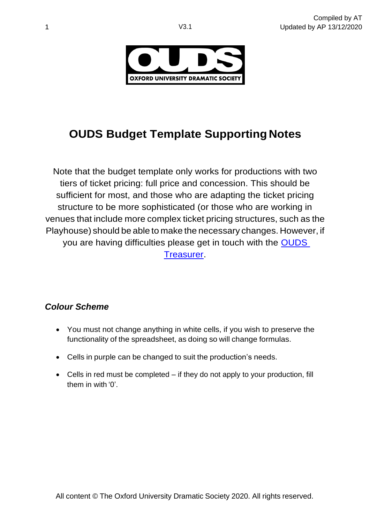

# **OUDS Budget Template Supporting Notes**

Note that the budget template only works for productions with two tiers of ticket pricing: full price and concession. This should be sufficient for most, and those who are adapting the ticket pricing structure to be more sophisticated (or those who are working in venues that include more complex ticket pricing structures, such as the Playhouse) should be able to make the necessary changes. However, if you are having difficulties please get in touch with the [OUDS](mailto:treasurer@ouds.org)  [Treasurer.](mailto:treasurer@ouds.org)

## *Colour Scheme*

- You must not change anything in white cells, if you wish to preserve the functionality of the spreadsheet, as doing so will change formulas.
- Cells in purple can be changed to suit the production's needs.
- Cells in red must be completed if they do not apply to your production, fill them in with '0'.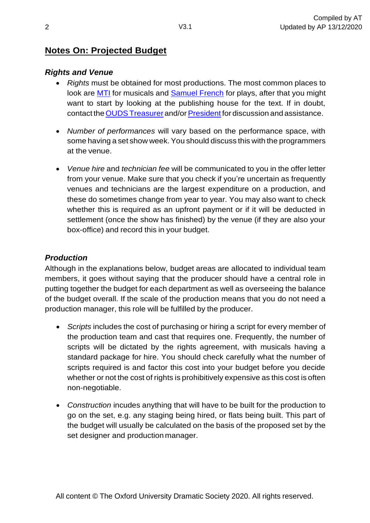## **Notes On: Projected Budget**

#### *Rights and Venue*

- *Rights* must be obtained for most productions. The most common places to look are [MTI](mtishows.co.uk) for musicals and [Samuel](https://www.concordtheatricals.co.uk/) French for plays, after that you might want to start by looking at the publishing house for the text. If in doubt, contact the OUDS [Treasurer](mailto:treasurer@ouds.org) and/or President for discussion and assistance.
- *Number of performances* will vary based on the performance space, with some having a set show week. You should discuss this with the programmers at the venue.
- *Venue hire* and *technician fee* will be communicated to you in the offer letter from your venue. Make sure that you check if you're uncertain as frequently venues and technicians are the largest expenditure on a production, and these do sometimes change from year to year. You may also want to check whether this is required as an upfront payment or if it will be deducted in settlement (once the show has finished) by the venue (if they are also your box-office) and record this in your budget.

#### *Production*

Although in the explanations below, budget areas are allocated to individual team members, it goes without saying that the producer should have a central role in putting together the budget for each department as well as overseeing the balance of the budget overall. If the scale of the production means that you do not need a production manager, this role will be fulfilled by the producer.

- *Scripts* includes the cost of purchasing or hiring a script for every member of the production team and cast that requires one. Frequently, the number of scripts will be dictated by the rights agreement, with musicals having a standard package for hire. You should check carefully what the number of scripts required is and factor this cost into your budget before you decide whether or not the cost of rights is prohibitively expensive as this cost is often non-negotiable.
- *Construction* incudes anything that will have to be built for the production to go on the set, e.g. any staging being hired, or flats being built. This part of the budget will usually be calculated on the basis of the proposed set by the set designer and production manager.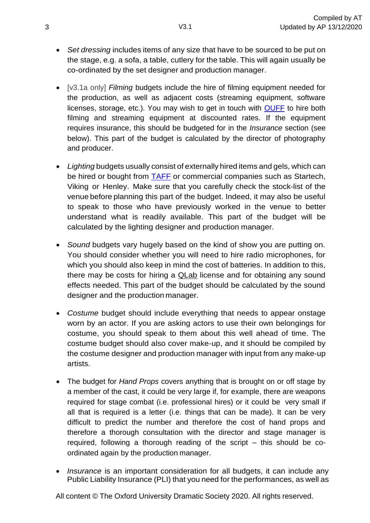- *Set dressing* includes items of any size that have to be sourced to be put on the stage, e.g. a sofa, a table, cutlery for the table. This will again usually be co-ordinated by the set designer and production manager.
- [v3.1a only] *Filming* budgets include the hire of filming equipment needed for the production, as well as adjacent costs (streaming equipment, software licenses, storage, etc.). You may wish to get in touch with [OUFF](http://oxforduniversityfilmmaking.org/) to hire both filming and streaming equipment at discounted rates. If the equipment requires insurance, this should be budgeted for in the *Insurance* section (see below). This part of the budget is calculated by the director of photography and producer.
- *Lighting* budgets usually consist of externally hired items and gels, which can be hired or bought from [TAFF](http://www.tabsareforflying.co.uk/) or commercial companies such as Startech, Viking or Henley. Make sure that you carefully check the stock-list of the venue before planning this part of the budget. Indeed, it may also be useful to speak to those who have previously worked in the venue to better understand what is readily available. This part of the budget will be calculated by the lighting designer and production manager.
- *Sound* budgets vary hugely based on the kind of show you are putting on. You should consider whether you will need to hire radio microphones, for which you should also keep in mind the cost of batteries. In addition to this, there may be costs for hiring a QLab license and for obtaining any sound effects needed. This part of the budget should be calculated by the sound designer and the production manager.
- *Costume* budget should include everything that needs to appear onstage worn by an actor. If you are asking actors to use their own belongings for costume, you should speak to them about this well ahead of time. The costume budget should also cover make-up, and it should be compiled by the costume designer and production manager with input from any make-up artists.
- The budget for *Hand Props* covers anything that is brought on or off stage by a member of the cast, it could be very large if, for example, there are weapons required for stage combat (i.e. professional hires) or it could be very small if all that is required is a letter (i.e. things that can be made). It can be very difficult to predict the number and therefore the cost of hand props and therefore a thorough consultation with the director and stage manager is required, following a thorough reading of the script – this should be coordinated again by the production manager.
- *Insurance* is an important consideration for all budgets, it can include any Public Liability Insurance (PLI) that you need for the performances, as well as

All content © The Oxford University Dramatic Society 2020. All rights reserved.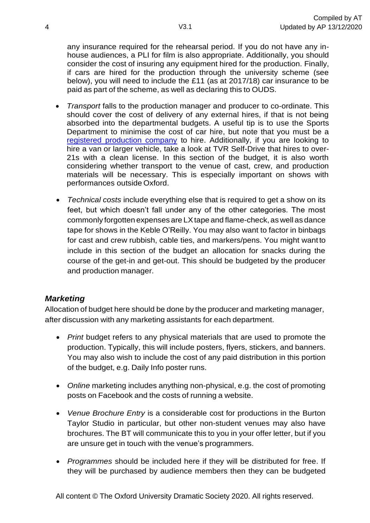any insurance required for the rehearsal period. If you do not have any inhouse audiences, a PLI for film is also appropriate. Additionally, you should consider the cost of insuring any equipment hired for the production. Finally, if cars are hired for the production through the university scheme (see below), you will need to include the £11 (as at 2017/18) car insurance to be paid as part of the scheme, as well as declaring this to OUDS.

- *Transport* falls to the production manager and producer to co-ordinate. This should cover the cost of delivery of any external hires, if that is not being absorbed into the departmental budgets. A useful tip is to use the Sports Department to minimise the cost of car hire, but note that you must be a [registered production company](http://www.ouds.org/register) to hire. Additionally, if you are looking to hire a van or larger vehicle, take a look at TVR Self-Drive that hires to over-21s with a clean license. In this section of the budget, it is also worth considering whether transport to the venue of cast, crew, and production materials will be necessary. This is especially important on shows with performances outside Oxford.
- *Technical costs* include everything else that is required to get a show on its feet, but which doesn't fall under any of the other categories. The most commonly forgotten expenses are LXtape and flame-check, as well as dance tape for shows in the Keble O'Reilly. You may also want to factor in binbags for cast and crew rubbish, cable ties, and markers/pens. You might want to include in this section of the budget an allocation for snacks during the course of the get-in and get-out. This should be budgeted by the producer and production manager.

#### *Marketing*

Allocation of budget here should be done by the producer and marketing manager, after discussion with any marketing assistants for each department.

- *Print* budget refers to any physical materials that are used to promote the production. Typically, this will include posters, flyers, stickers, and banners. You may also wish to include the cost of any paid distribution in this portion of the budget, e.g. Daily Info poster runs.
- *Online* marketing includes anything non-physical, e.g. the cost of promoting posts on Facebook and the costs of running a website.
- *Venue Brochure Entry* is a considerable cost for productions in the Burton Taylor Studio in particular, but other non-student venues may also have brochures. The BT will communicate this to you in your offer letter, but if you are unsure get in touch with the venue's programmers.
- *Programmes* should be included here if they will be distributed for free. If they will be purchased by audience members then they can be budgeted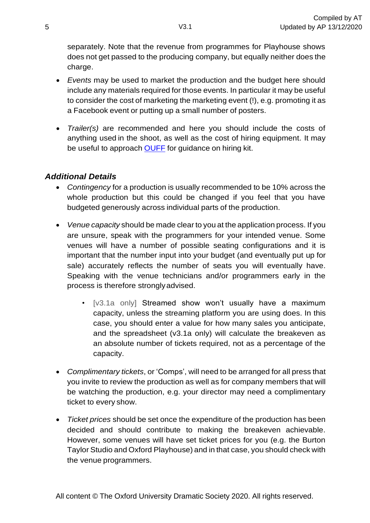separately. Note that the revenue from programmes for Playhouse shows does not get passed to the producing company, but equally neither does the charge.

- *Events* may be used to market the production and the budget here should include any materials required for those events. In particular it may be useful to consider the cost of marketing the marketing event (!), e.g. promoting it as a Facebook event or putting up a small number of posters.
- *Trailer(s)* are recommended and here you should include the costs of anything used in the shoot, as well as the cost of hiring equipment. It may be useful to approach [OUFF](http://oxforduniversityfilmmaking.org/) for guidance on hiring kit.

#### *Additional Details*

- *Contingency* for a production is usually recommended to be 10% across the whole production but this could be changed if you feel that you have budgeted generously across individual parts of the production.
- *Venue capacity* should be made clear to you at the application process. If you are unsure, speak with the programmers for your intended venue. Some venues will have a number of possible seating configurations and it is important that the number input into your budget (and eventually put up for sale) accurately reflects the number of seats you will eventually have. Speaking with the venue technicians and/or programmers early in the process is therefore stronglyadvised.
	- [v3.1a only] Streamed show won't usually have a maximum capacity, unless the streaming platform you are using does. In this case, you should enter a value for how many sales you anticipate, and the spreadsheet (v3.1a only) will calculate the breakeven as an absolute number of tickets required, not as a percentage of the capacity.
- *Complimentary tickets*, or 'Comps', will need to be arranged for all press that you invite to review the production as well as for company members that will be watching the production, e.g. your director may need a complimentary ticket to every show.
- *Ticket prices* should be set once the expenditure of the production has been decided and should contribute to making the breakeven achievable. However, some venues will have set ticket prices for you (e.g. the Burton Taylor Studio and Oxford Playhouse) and in that case, you should check with the venue programmers.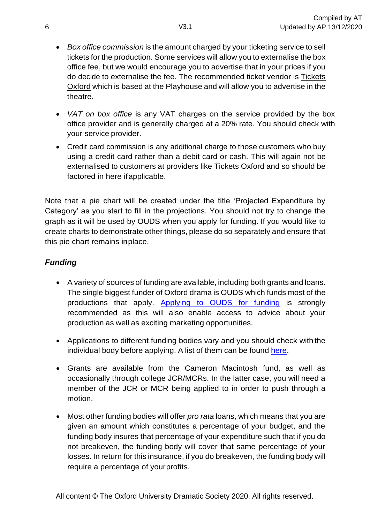- *Box office commission* is the amount charged by your ticketing service to sell tickets for the production. Some services will allow you to externalise the box office fee, but we would encourage you to advertise that in your prices if you do decide to externalise the fee. The recommended ticket vendor is Tickets Oxford which is based at the Playhouse and will allow you to advertise in the theatre.
- *VAT on box office* is any VAT charges on the service provided by the box office provider and is generally charged at a 20% rate. You should check with your service provider.
- Credit card commission is any additional charge to those customers who buy using a credit card rather than a debit card or cash. This will again not be externalised to customers at providers like Tickets Oxford and so should be factored in here ifapplicable.

Note that a pie chart will be created under the title 'Projected Expenditure by Category' as you start to fill in the projections. You should not try to change the graph as it will be used by OUDS when you apply for funding. If you would like to create charts to demonstrate other things, please do so separately and ensure that this pie chart remains inplace.

## *Funding*

- A variety of sources of funding are available, including both grants and loans. The single biggest funder of Oxford drama is OUDS which funds most of the productions that apply. [Applying to OUDS for funding](http://www.ouds.org/funding) is strongly recommended as this will also enable access to advice about your production as well as exciting marketing opportunities.
- Applications to different funding bodies vary and you should check with the individual body before applying. A list of them can be found [here.](https://www.ouds.org/other-funding)
- Grants are available from the Cameron Macintosh fund, as well as occasionally through college JCR/MCRs. In the latter case, you will need a member of the JCR or MCR being applied to in order to push through a motion.
- Most other funding bodies will offer *pro rata* loans, which means that you are given an amount which constitutes a percentage of your budget, and the funding body insures that percentage of your expenditure such that if you do not breakeven, the funding body will cover that same percentage of your losses. In return for this insurance, if you do breakeven, the funding body will require a percentage of yourprofits.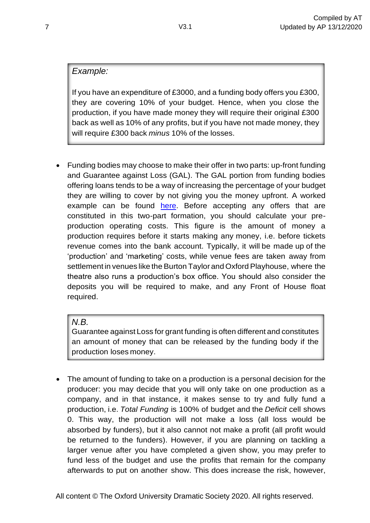### *Example:*

If you have an expenditure of £3000, and a funding body offers you £300, they are covering 10% of your budget. Hence, when you close the production, if you have made money they will require their original £300 back as well as 10% of any profits, but if you have not made money, they will require £300 back *minus* 10% of the losses.

• Funding bodies may choose to make their offer in two parts: up-front funding and Guarantee against Loss (GAL). The GAL portion from funding bodies offering loans tends to be a way of increasing the percentage of your budget they are willing to cover by not giving you the money upfront. A worked example can be found [here.](https://drive.google.com/file/d/1t1p0ONkY_r91EIkFb5yNCVbxxJsL4Ygl/view?usp=sharing) Before accepting any offers that are constituted in this two-part formation, you should calculate your preproduction operating costs. This figure is the amount of money a production requires before it starts making any money, i.e. before tickets revenue comes into the bank account. Typically, it will be made up of the 'production' and 'marketing' costs, while venue fees are taken away from settlement in venues like the Burton Taylor and Oxford Playhouse, where the theatre also runs a production's box office. You should also consider the deposits you will be required to make, and any Front of House float required.

#### *N.B.*

Guarantee against Loss for grant funding is often different and constitutes an amount of money that can be released by the funding body if the production loses money.

• The amount of funding to take on a production is a personal decision for the producer: you may decide that you will only take on one production as a company, and in that instance, it makes sense to try and fully fund a production, i.e. *Total Funding* is 100% of budget and the *Deficit* cell shows 0. This way, the production will not make a loss (all loss would be absorbed by funders), but it also cannot not make a profit (all profit would be returned to the funders). However, if you are planning on tackling a larger venue after you have completed a given show, you may prefer to fund less of the budget and use the profits that remain for the company afterwards to put on another show. This does increase the risk, however,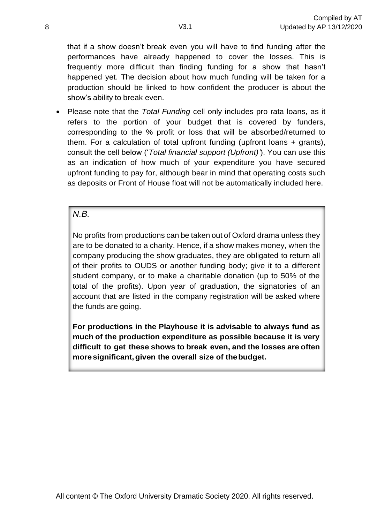that if a show doesn't break even you will have to find funding after the performances have already happened to cover the losses. This is frequently more difficult than finding funding for a show that hasn't happened yet. The decision about how much funding will be taken for a production should be linked to how confident the producer is about the show's ability to break even.

• Please note that the *Total Funding* cell only includes pro rata loans, as it refers to the portion of your budget that is covered by funders, corresponding to the % profit or loss that will be absorbed/returned to them. For a calculation of total upfront funding (upfront loans + grants), consult the cell below ('*Total financial support (Upfront)'*). You can use this as an indication of how much of your expenditure you have secured upfront funding to pay for, although bear in mind that operating costs such as deposits or Front of House float will not be automatically included here.

#### *N.B.*

No profits from productions can be taken out of Oxford drama unless they are to be donated to a charity. Hence, if a show makes money, when the company producing the show graduates, they are obligated to return all of their profits to OUDS or another funding body; give it to a different student company, or to make a charitable donation (up to 50% of the total of the profits). Upon year of graduation, the signatories of an account that are listed in the company registration will be asked where the funds are going.

**For productions in the Playhouse it is advisable to always fund as much of the production expenditure as possible because it is very difficult to get these shows to break even, and the losses are often moresignificant,given the overall size of thebudget.**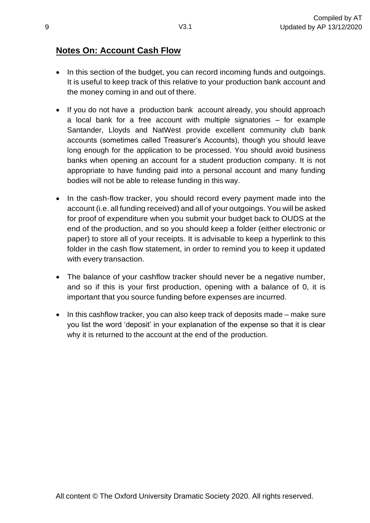## **Notes On: Account Cash Flow**

- In this section of the budget, you can record incoming funds and outgoings. It is useful to keep track of this relative to your production bank account and the money coming in and out of there.
- If you do not have a production bank account already, you should approach a local bank for a free account with multiple signatories – for example Santander, Lloyds and NatWest provide excellent community club bank accounts (sometimes called Treasurer's Accounts), though you should leave long enough for the application to be processed. You should avoid business banks when opening an account for a student production company. It is not appropriate to have funding paid into a personal account and many funding bodies will not be able to release funding in this way.
- In the cash-flow tracker, you should record every payment made into the account (i.e. all funding received) and all of your outgoings. You will be asked for proof of expenditure when you submit your budget back to OUDS at the end of the production, and so you should keep a folder (either electronic or paper) to store all of your receipts. It is advisable to keep a hyperlink to this folder in the cash flow statement, in order to remind you to keep it updated with every transaction.
- The balance of your cashflow tracker should never be a negative number, and so if this is your first production, opening with a balance of 0, it is important that you source funding before expenses are incurred.
- In this cashflow tracker, you can also keep track of deposits made make sure you list the word 'deposit' in your explanation of the expense so that it is clear why it is returned to the account at the end of the production.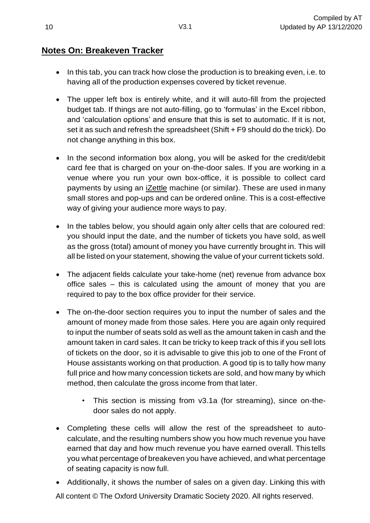## **Notes On: Breakeven Tracker**

- In this tab, you can track how close the production is to breaking even, i.e. to having all of the production expenses covered by ticket revenue.
- The upper left box is entirely white, and it will auto-fill from the projected budget tab. If things are not auto-filling, go to 'formulas' in the Excel ribbon, and 'calculation options' and ensure that this is set to automatic. If it is not, set it as such and refresh the spreadsheet (Shift + F9 should do the trick). Do not change anything in this box.
- In the second information box along, you will be asked for the credit/debit card fee that is charged on your on-the-door sales. If you are working in a venue where you run your own box-office, it is possible to collect card payments by using an iZettle machine (or similar). These are used inmany small stores and pop-ups and can be ordered online. This is a cost-effective way of giving your audience more ways to pay.
- In the tables below, you should again only alter cells that are coloured red: you should input the date, and the number of tickets you have sold, as well as the gross (total) amount of money you have currently brought in. This will all be listed on your statement, showing the value of your current tickets sold.
- The adjacent fields calculate your take-home (net) revenue from advance box office sales – this is calculated using the amount of money that you are required to pay to the box office provider for their service.
- The on-the-door section requires you to input the number of sales and the amount of money made from those sales. Here you are again only required to input the number of seats sold as well as the amount taken in cash and the amount taken in card sales. It can be tricky to keep track of this if you sell lots of tickets on the door, so it is advisable to give this job to one of the Front of House assistants working on that production. A good tip is to tally how many full price and how many concession tickets are sold, and how many by which method, then calculate the gross income from that later.
	- This section is missing from v3.1a (for streaming), since on-thedoor sales do not apply.
- Completing these cells will allow the rest of the spreadsheet to autocalculate, and the resulting numbers show you how much revenue you have earned that day and how much revenue you have earned overall. This tells you what percentage of breakeven you have achieved, and what percentage of seating capacity is now full.
- Additionally, it shows the number of sales on a given day. Linking this with

All content © The Oxford University Dramatic Society 2020. All rights reserved.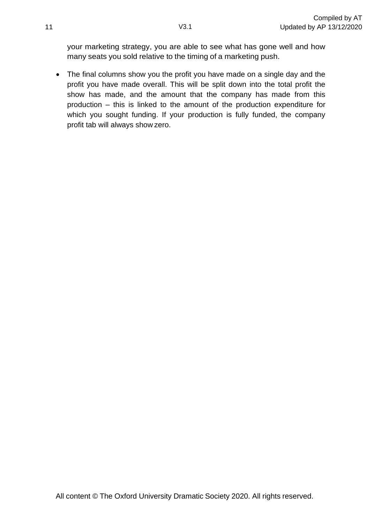your marketing strategy, you are able to see what has gone well and how many seats you sold relative to the timing of a marketing push.

• The final columns show you the profit you have made on a single day and the profit you have made overall. This will be split down into the total profit the show has made, and the amount that the company has made from this production – this is linked to the amount of the production expenditure for which you sought funding. If your production is fully funded, the company profit tab will always show zero.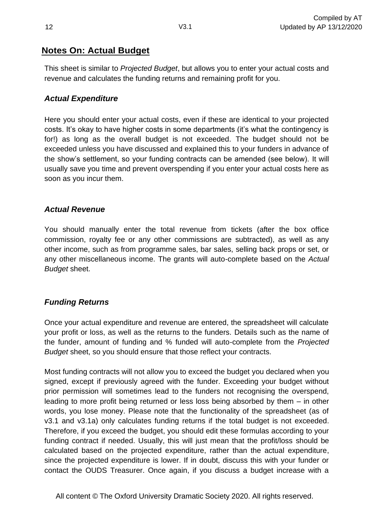## **Notes On: Actual Budget**

This sheet is similar to *Projected Budget*, but allows you to enter your actual costs and revenue and calculates the funding returns and remaining profit for you.

#### *Actual Expenditure*

Here you should enter your actual costs, even if these are identical to your projected costs. It's okay to have higher costs in some departments (it's what the contingency is for!) as long as the overall budget is not exceeded. The budget should not be exceeded unless you have discussed and explained this to your funders in advance of the show's settlement, so your funding contracts can be amended (see below). It will usually save you time and prevent overspending if you enter your actual costs here as soon as you incur them.

#### *Actual Revenue*

You should manually enter the total revenue from tickets (after the box office commission, royalty fee or any other commissions are subtracted), as well as any other income, such as from programme sales, bar sales, selling back props or set, or any other miscellaneous income. The grants will auto-complete based on the *Actual Budget* sheet.

#### *Funding Returns*

Once your actual expenditure and revenue are entered, the spreadsheet will calculate your profit or loss, as well as the returns to the funders. Details such as the name of the funder, amount of funding and % funded will auto-complete from the *Projected Budget* sheet, so you should ensure that those reflect your contracts.

Most funding contracts will not allow you to exceed the budget you declared when you signed, except if previously agreed with the funder. Exceeding your budget without prior permission will sometimes lead to the funders not recognising the overspend, leading to more profit being returned or less loss being absorbed by them – in other words, you lose money. Please note that the functionality of the spreadsheet (as of v3.1 and v3.1a) only calculates funding returns if the total budget is not exceeded. Therefore, if you exceed the budget, you should edit these formulas according to your funding contract if needed. Usually, this will just mean that the profit/loss should be calculated based on the projected expenditure, rather than the actual expenditure, since the projected expenditure is lower. If in doubt, discuss this with your funder or contact the OUDS Treasurer. Once again, if you discuss a budget increase with a